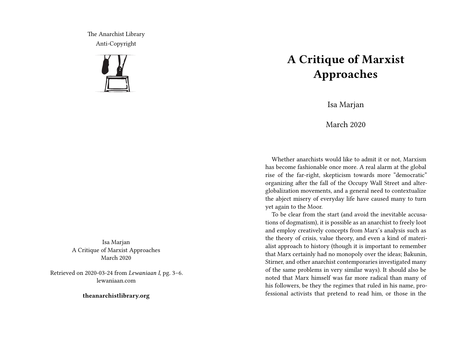The Anarchist Library Anti-Copyright



Isa Marjan A Critique of Marxist Approaches March 2020

Retrieved on 2020-03-24 from *Lewaniaan I*, pg. 3–6. lewaniaan.com

**theanarchistlibrary.org**

## **A Critique of Marxist Approaches**

Isa Marjan

March 2020

Whether anarchists would like to admit it or not, Marxism has become fashionable once more. A real alarm at the global rise of the far-right, skepticism towards more "democratic" organizing after the fall of the Occupy Wall Street and alterglobalization movements, and a general need to contextualize the abject misery of everyday life have caused many to turn yet again to the Moor.

To be clear from the start (and avoid the inevitable accusations of dogmatism), it is possible as an anarchist to freely loot and employ creatively concepts from Marx's analysis such as the theory of crisis, value theory, and even a kind of materialist approach to history (though it is important to remember that Marx certainly had no monopoly over the ideas; Bakunin, Stirner, and other anarchist contemporaries investigated many of the same problems in very similar ways). It should also be noted that Marx himself was far more radical than many of his followers, be they the regimes that ruled in his name, professional activists that pretend to read him, or those in the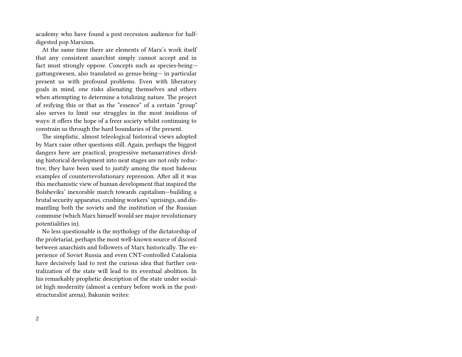academy who have found a post-recession audience for halfdigested pop Marxism.

At the same time there are elements of Marx's work itself that any consistent anarchist simply cannot accept and in fact must strongly oppose. Concepts such as species-being gattungswesen, also translated as genus-being— in particular present us with profound problems. Even with liberatory goals in mind, one risks alienating themselves and others when attempting to determine a totalizing nature. The project of reifying this or that as the "essence" of a certain "group" also serves to limit our struggles in the most insidious of ways: it offers the hope of a freer society whilst continuing to constrain us through the hard boundaries of the present.

The simplistic, almost teleological historical views adopted by Marx raise other questions still. Again, perhaps the biggest dangers here are practical; progressive metanarratives dividing historical development into neat stages are not only reductive, they have been used to justify among the most hideous examples of counterrevolutionary repression. After all it was this mechanistic view of human development that inspired the Bolsheviks' inexorable march towards capitalism—building a brutal security apparatus, crushing workers' uprisings, and dismantling both the soviets and the institution of the Russian commune (which Marx himself would see major revolutionary potentialities in).

No less questionable is the mythology of the dictatorship of the proletariat, perhaps the most well-known source of discord between anarchists and followers of Marx historically. The experience of Soviet Russia and even CNT-controlled Catalonia have decisively laid to rest the curious idea that further centralization of the state will lead to its eventual abolition. In his remarkably prophetic description of the state under socialist high modernity (almost a century before work in the poststructuralist arena), Bakunin writes: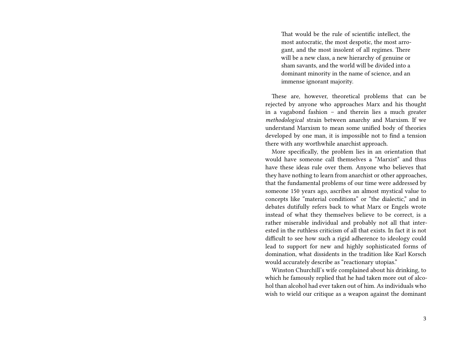That would be the rule of scientific intellect, the most autocratic, the most despotic, the most arrogant, and the most insolent of all regimes. There will be a new class, a new hierarchy of genuine or sham savants, and the world will be divided into a dominant minority in the name of science, and an immense ignorant majority.

These are, however, theoretical problems that can be rejected by anyone who approaches Marx and his thought in a vagabond fashion – and therein lies a much greater *methodological* strain between anarchy and Marxism. If we understand Marxism to mean some unified body of theories developed by one man, it is impossible not to find a tension there with any worthwhile anarchist approach.

More specifically, the problem lies in an orientation that would have someone call themselves a "Marxist" and thus have these ideas rule over them. Anyone who believes that they have nothing to learn from anarchist or other approaches, that the fundamental problems of our time were addressed by someone 150 years ago, ascribes an almost mystical value to concepts like "material conditions" or "the dialectic," and in debates dutifully refers back to what Marx or Engels wrote instead of what they themselves believe to be correct, is a rather miserable individual and probably not all that interested in the ruthless criticism of all that exists. In fact it is not difficult to see how such a rigid adherence to ideology could lead to support for new and highly sophisticated forms of domination, what dissidents in the tradition like Karl Korsch would accurately describe as "reactionary utopias."

Winston Churchill's wife complained about his drinking, to which he famously replied that he had taken more out of alcohol than alcohol had ever taken out of him. As individuals who wish to wield our critique as a weapon against the dominant